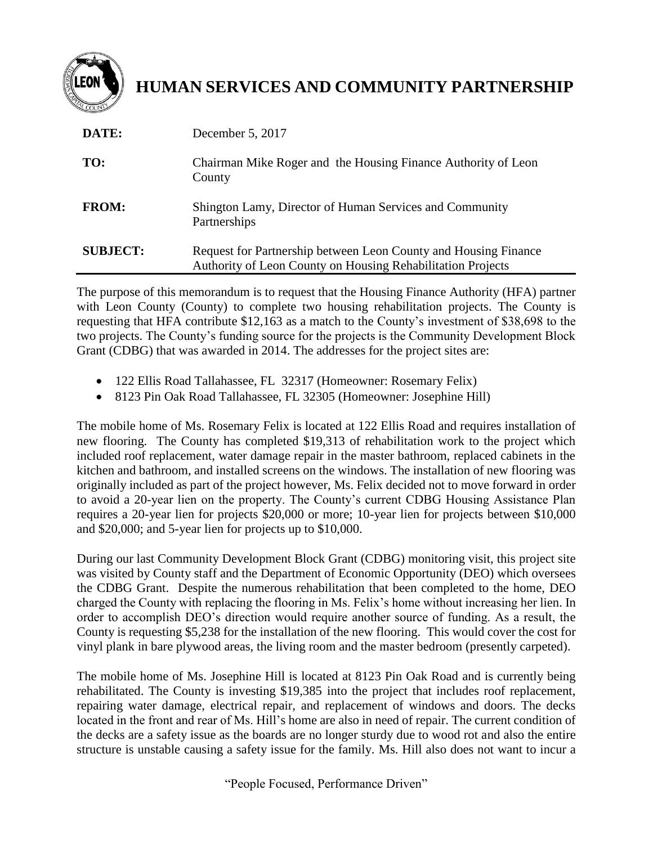

## **HUMAN SERVICES AND COMMUNITY PARTNERSHIP**

| DATE:           | December 5, 2017                                                                                                               |
|-----------------|--------------------------------------------------------------------------------------------------------------------------------|
| TO:             | Chairman Mike Roger and the Housing Finance Authority of Leon<br>County                                                        |
| <b>FROM:</b>    | Shington Lamy, Director of Human Services and Community<br>Partnerships                                                        |
| <b>SUBJECT:</b> | Request for Partnership between Leon County and Housing Finance<br>Authority of Leon County on Housing Rehabilitation Projects |

The purpose of this memorandum is to request that the Housing Finance Authority (HFA) partner with Leon County (County) to complete two housing rehabilitation projects. The County is requesting that HFA contribute \$12,163 as a match to the County's investment of \$38,698 to the two projects. The County's funding source for the projects is the Community Development Block Grant (CDBG) that was awarded in 2014. The addresses for the project sites are:

- 122 Ellis Road Tallahassee, FL 32317 (Homeowner: Rosemary Felix)
- 8123 Pin Oak Road Tallahassee, FL 32305 (Homeowner: Josephine Hill)

The mobile home of Ms. Rosemary Felix is located at 122 Ellis Road and requires installation of new flooring. The County has completed \$19,313 of rehabilitation work to the project which included roof replacement, water damage repair in the master bathroom, replaced cabinets in the kitchen and bathroom, and installed screens on the windows. The installation of new flooring was originally included as part of the project however, Ms. Felix decided not to move forward in order to avoid a 20-year lien on the property. The County's current CDBG Housing Assistance Plan requires a 20-year lien for projects \$20,000 or more; 10-year lien for projects between \$10,000 and \$20,000; and 5-year lien for projects up to \$10,000.

During our last Community Development Block Grant (CDBG) monitoring visit, this project site was visited by County staff and the Department of Economic Opportunity (DEO) which oversees the CDBG Grant. Despite the numerous rehabilitation that been completed to the home, DEO charged the County with replacing the flooring in Ms. Felix's home without increasing her lien. In order to accomplish DEO's direction would require another source of funding. As a result, the County is requesting \$5,238 for the installation of the new flooring. This would cover the cost for vinyl plank in bare plywood areas, the living room and the master bedroom (presently carpeted).

The mobile home of Ms. Josephine Hill is located at 8123 Pin Oak Road and is currently being rehabilitated. The County is investing \$19,385 into the project that includes roof replacement, repairing water damage, electrical repair, and replacement of windows and doors. The decks located in the front and rear of Ms. Hill's home are also in need of repair. The current condition of the decks are a safety issue as the boards are no longer sturdy due to wood rot and also the entire structure is unstable causing a safety issue for the family. Ms. Hill also does not want to incur a